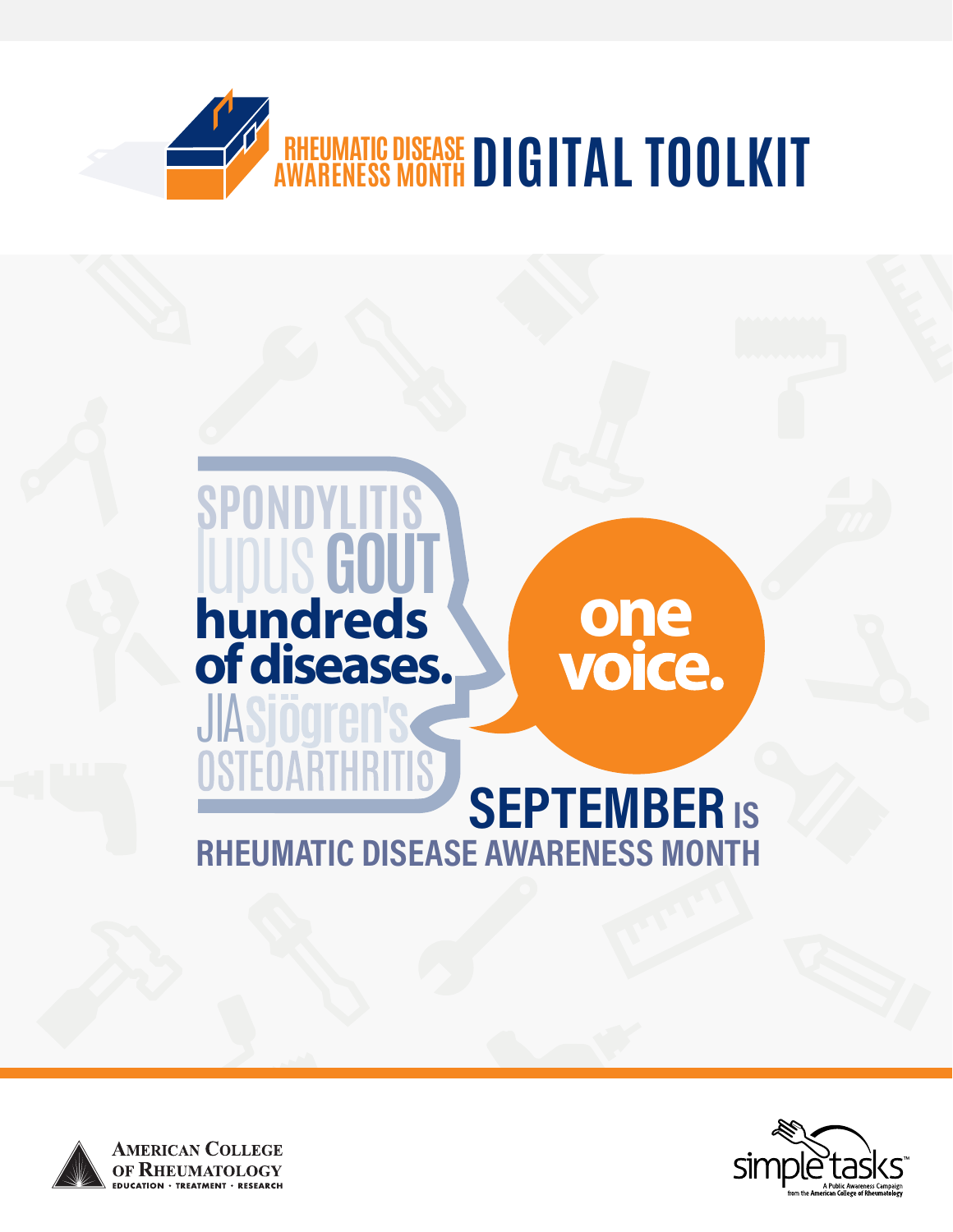





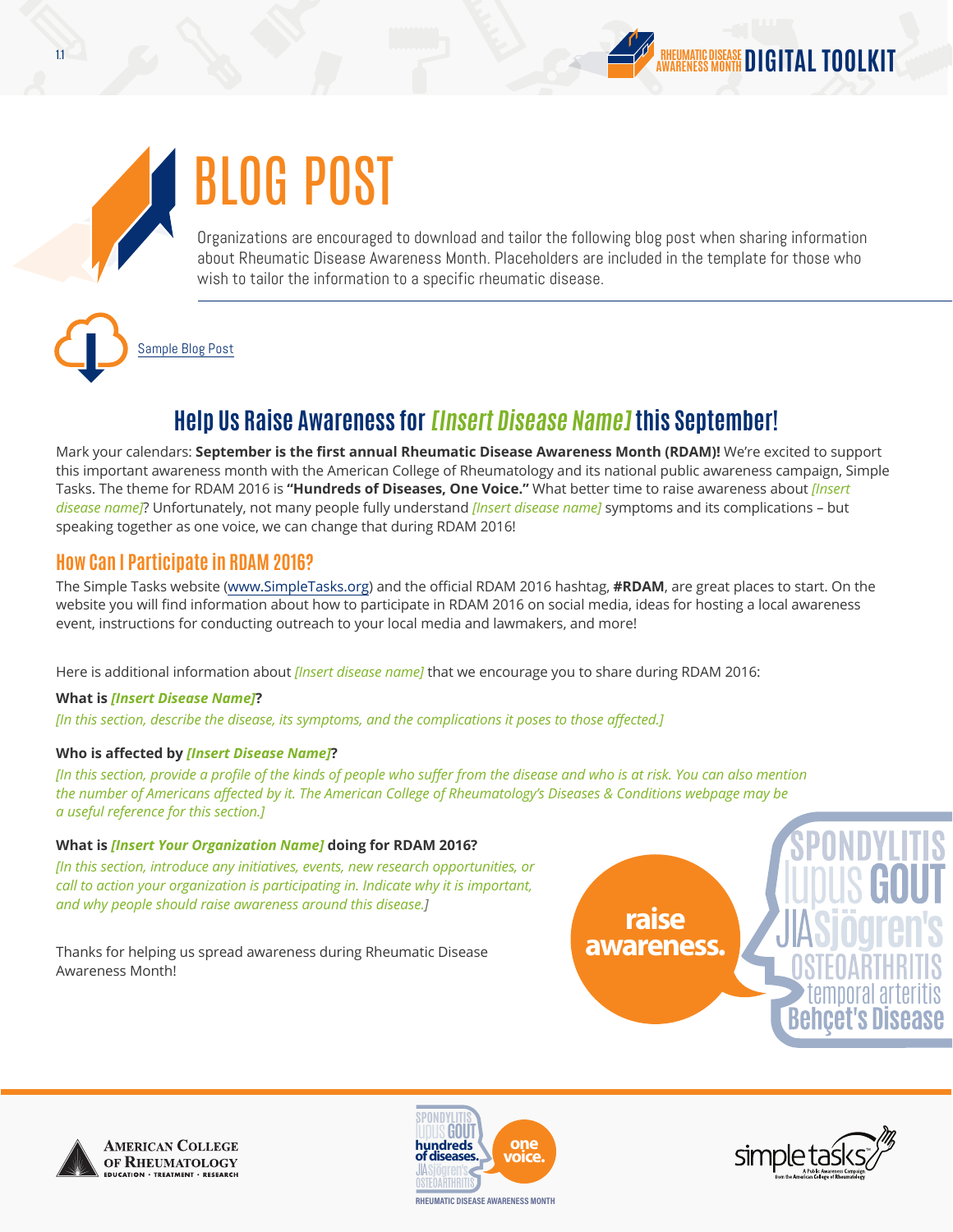# BLOG POST

Organizations are encouraged to download and tailor the following blog post when sharing information about Rheumatic Disease Awareness Month. Placeholders are included in the template for those who wish to tailor the information to a specific rheumatic disease.

[Sample Blog Post](http://simpletasks.org/rdam-2016-blog-post/)

## **Help Us Raise Awareness for [Insert Disease Name] this September!**

Mark your calendars: **September is the first annual Rheumatic Disease Awareness Month (RDAM)!** We're excited to support this important awareness month with the American College of Rheumatology and its national public awareness campaign, Simple Tasks. The theme for RDAM 2016 is **"Hundreds of Diseases, One Voice."** What better time to raise awareness about *[Insert disease name]*? Unfortunately, not many people fully understand *[Insert disease name]* symptoms and its complications – but speaking together as one voice, we can change that during RDAM 2016!

### **How Can I Participate in RDAM 2016?**

The Simple Tasks website [\(www.SimpleTasks.org](http://www.SimpleTasks.org)) and the official RDAM 2016 hashtag, **#RDAM**, are great places to start. On the website you will find information about how to participate in RDAM 2016 on social media, ideas for hosting a local awareness event, instructions for conducting outreach to your local media and lawmakers, and more!

Here is additional information about *[Insert disease name]* that we encourage you to share during RDAM 2016:

### **What is** *[Insert Disease Name]***?**

*[In this section, describe the disease, its symptoms, and the complications it poses to those affected.]*

### **Who is affected by** *[Insert Disease Name]***?**

*[In this section, provide a profile of the kinds of people who suffer from the disease and who is at risk. You can also mention the number of Americans affected by it. The American College of Rheumatology's Diseases & Conditions webpage may be a useful reference for this section.]*

### **What is** *[Insert Your Organization Name]* **doing for RDAM 2016?**

*[In this section, introduce any initiatives, events, new research opportunities, or call to action your organization is participating in. Indicate why it is important, and why people should raise awareness around this disease.]*

Thanks for helping us spread awareness during Rheumatic Disease Awareness Month!







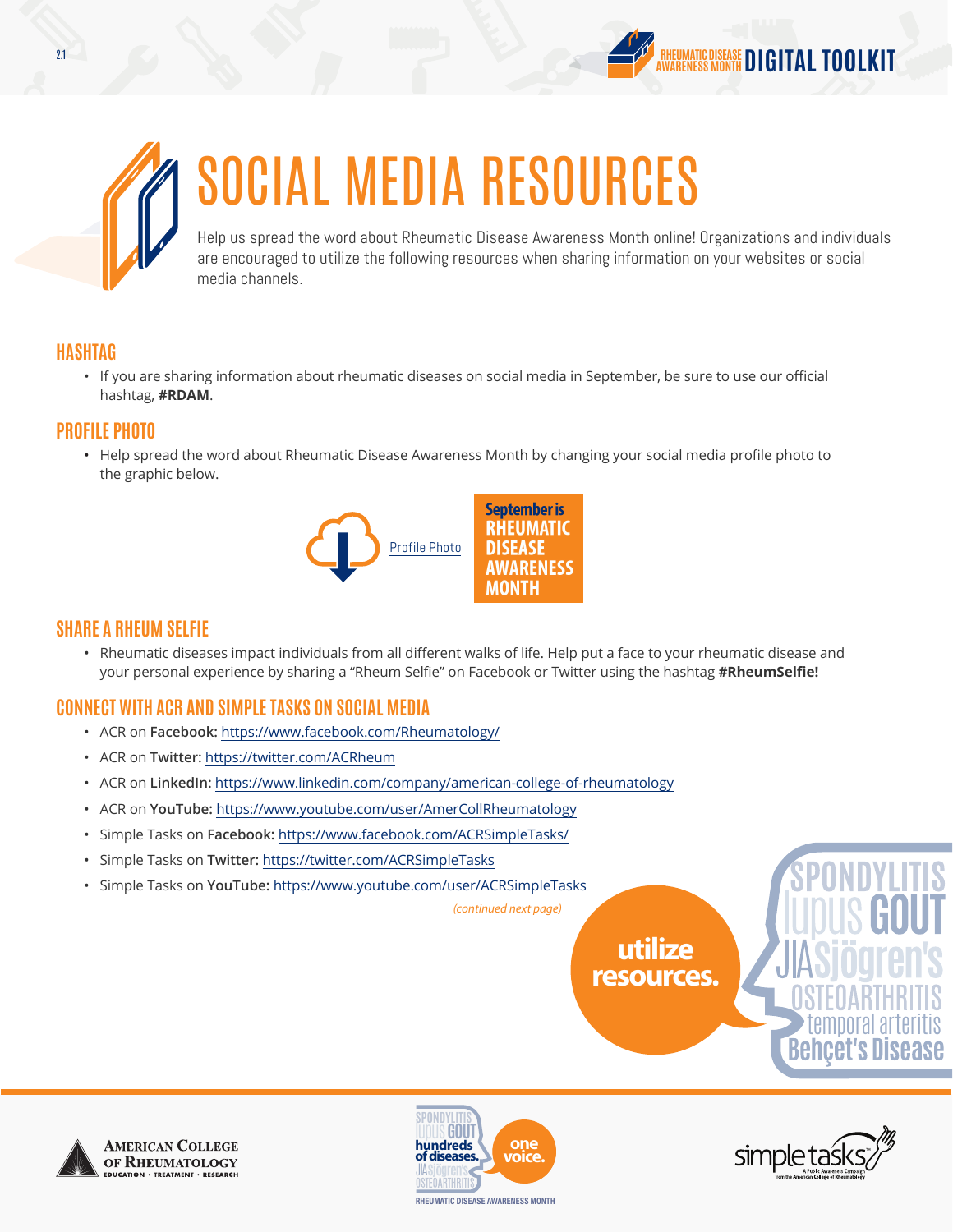



# SOCIAL MEDIA RESOURCES

Help us spread the word about Rheumatic Disease Awareness Month online! Organizations and individuals are encouraged to utilize the following resources when sharing information on your websites or social media channels.

### **HASHTAG**

• If you are sharing information about rheumatic diseases on social media in September, be sure to use our official hashtag, **#RDAM**.

### **PROFILE PHOTO**

• Help spread the word about Rheumatic Disease Awareness Month by changing your social media profile photo to the graphic below.



### **SHARE A RHEUM SELFIE**

• Rheumatic diseases impact individuals from all different walks of life. Help put a face to your rheumatic disease and your personal experience by sharing a "Rheum Selfie" on Facebook or Twitter using the hashtag **#RheumSelfie!**

## **CONNECT WITH ACR AND SIMPLE TASKS ON SOCIAL MEDIA**

- ACR on **Facebook:** <https://www.facebook.com/Rheumatology/>
- ACR on **Twitter:** <https://twitter.com/ACRheum>
- ACR on **LinkedIn:** <https://www.linkedin.com/company/american-college-of-rheumatology>
- ACR on **YouTube:** <https://www.youtube.com/user/AmerCollRheumatology>
- Simple Tasks on **Facebook:** <https://www.facebook.com/ACRSimpleTasks/>
- Simple Tasks on **Twitter:** <https://twitter.com/ACRSimpleTasks>
- Simple Tasks on **YouTube:** <https://www.youtube.com/user/ACRSimpleTasks>

**utilize resources.**



**AMERICAN COLLEGE** OF RHEUMATOLOGY



*(continued next page)*



temporal arteritis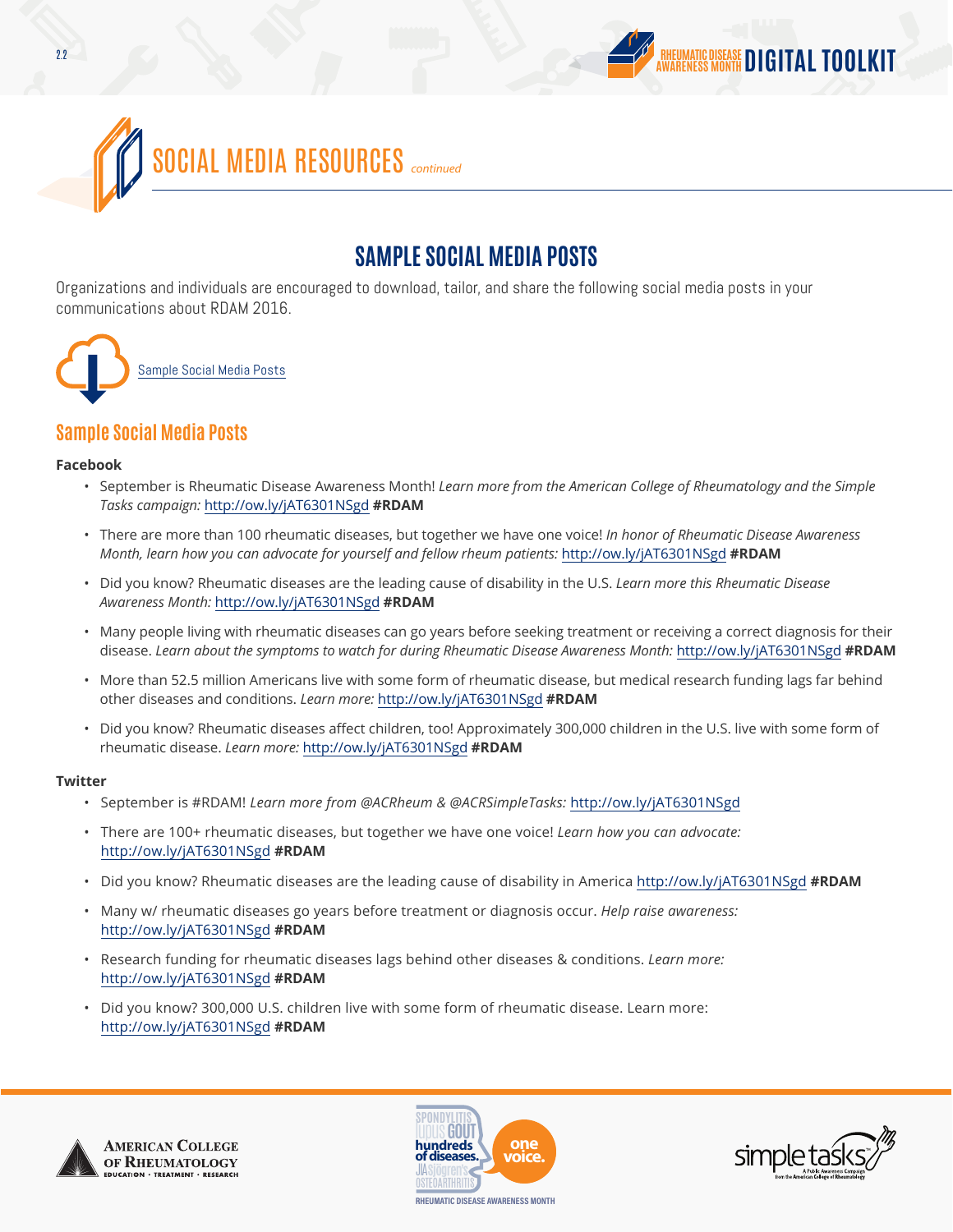



## **SAMPLE SOCIAL MEDIA POSTS**

Organizations and individuals are encouraged to download, tailor, and share the following social media posts in your communications about RDAM 2016.



## **Sample Social Media Posts**

#### **Facebook**

- September is Rheumatic Disease Awareness Month! *Learn more from the American College of Rheumatology and the Simple Tasks campaign:* <http://ow.ly/jAT6301NSgd> **#RDAM**
- There are more than 100 rheumatic diseases, but together we have one voice! *In honor of Rheumatic Disease Awareness Month, learn how you can advocate for yourself and fellow rheum patients:* <http://ow.ly/jAT6301NSgd> **#RDAM**
- Did you know? Rheumatic diseases are the leading cause of disability in the U.S. *Learn more this Rheumatic Disease Awareness Month:* <http://ow.ly/jAT6301NSgd> **#RDAM**
- Many people living with rheumatic diseases can go years before seeking treatment or receiving a correct diagnosis for their disease. *Learn about the symptoms to watch for during Rheumatic Disease Awareness Month:* <http://ow.ly/jAT6301NSgd> **#RDAM**
- More than 52.5 million Americans live with some form of rheumatic disease, but medical research funding lags far behind other diseases and conditions. *Learn more:* <http://ow.ly/jAT6301NSgd> **#RDAM**
- Did you know? Rheumatic diseases affect children, too! Approximately 300,000 children in the U.S. live with some form of rheumatic disease. *Learn more:* <http://ow.ly/jAT6301NSgd> **#RDAM**

#### **Twitter**

- September is #RDAM! *Learn more from @ACRheum & @ACRSimpleTasks:* <http://ow.ly/jAT6301NSgd>
- There are 100+ rheumatic diseases, but together we have one voice! *Learn how you can advocate:* <http://ow.ly/jAT6301NSgd> **#RDAM**
- Did you know? Rheumatic diseases are the leading cause of disability in America<http://ow.ly/jAT6301NSgd> **#RDAM**
- Many w/ rheumatic diseases go years before treatment or diagnosis occur. *Help raise awareness:* <http://ow.ly/jAT6301NSgd> **#RDAM**
- Research funding for rheumatic diseases lags behind other diseases & conditions. *Learn more:* <http://ow.ly/jAT6301NSgd> **#RDAM**
- Did you know? 300,000 U.S. children live with some form of rheumatic disease. Learn more: <http://ow.ly/jAT6301NSgd> **#RDAM**





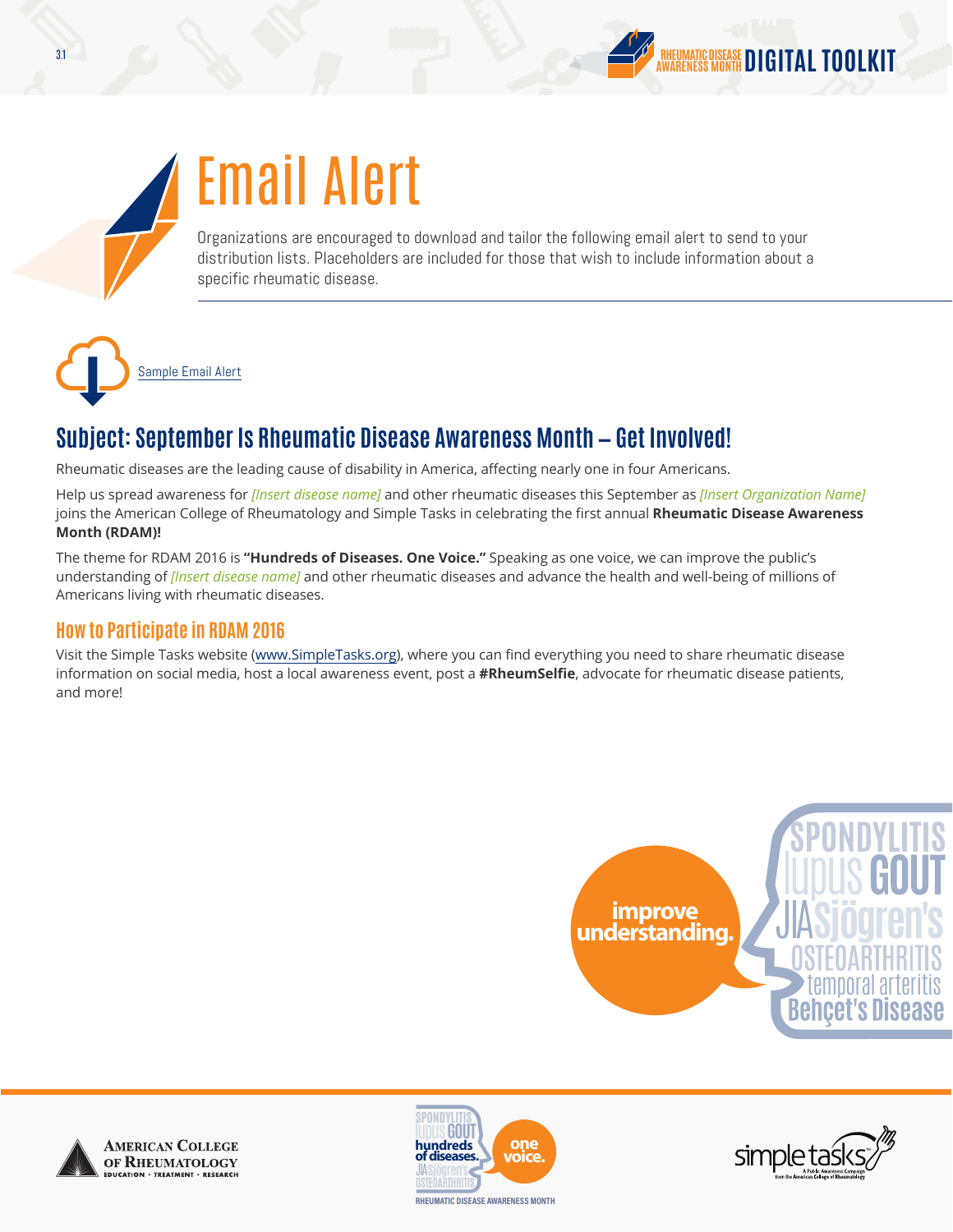



# Email Alert

Organizations are encouraged to download and tailor the following email alert to send to your distribution lists. Placeholders are included for those that wish to include information about a specific rheumatic disease.



## **Subject: September Is Rheumatic Disease Awareness Month — Get Involved!**

Rheumatic diseases are the leading cause of disability in America, affecting nearly one in four Americans.

Help us spread awareness for *[Insert disease name]* and other rheumatic diseases this September as *[Insert Organization Name]* joins the American College of Rheumatology and Simple Tasks in celebrating the first annual **Rheumatic Disease Awareness Month (RDAM)!**

The theme for RDAM 2016 is **"Hundreds of Diseases. One Voice."** Speaking as one voice, we can improve the public's understanding of *[Insert disease name]* and other rheumatic diseases and advance the health and well-being of millions of Americans living with rheumatic diseases.

## **How to Participate in RDAM 2016**

Visit the Simple Tasks website [\(www.SimpleTasks.org](http://www.SimpleTasks.org)), where you can find everything you need to share rheumatic disease information on social media, host a local awareness event, post a **#RheumSelfie**, advocate for rheumatic disease patients, and more!









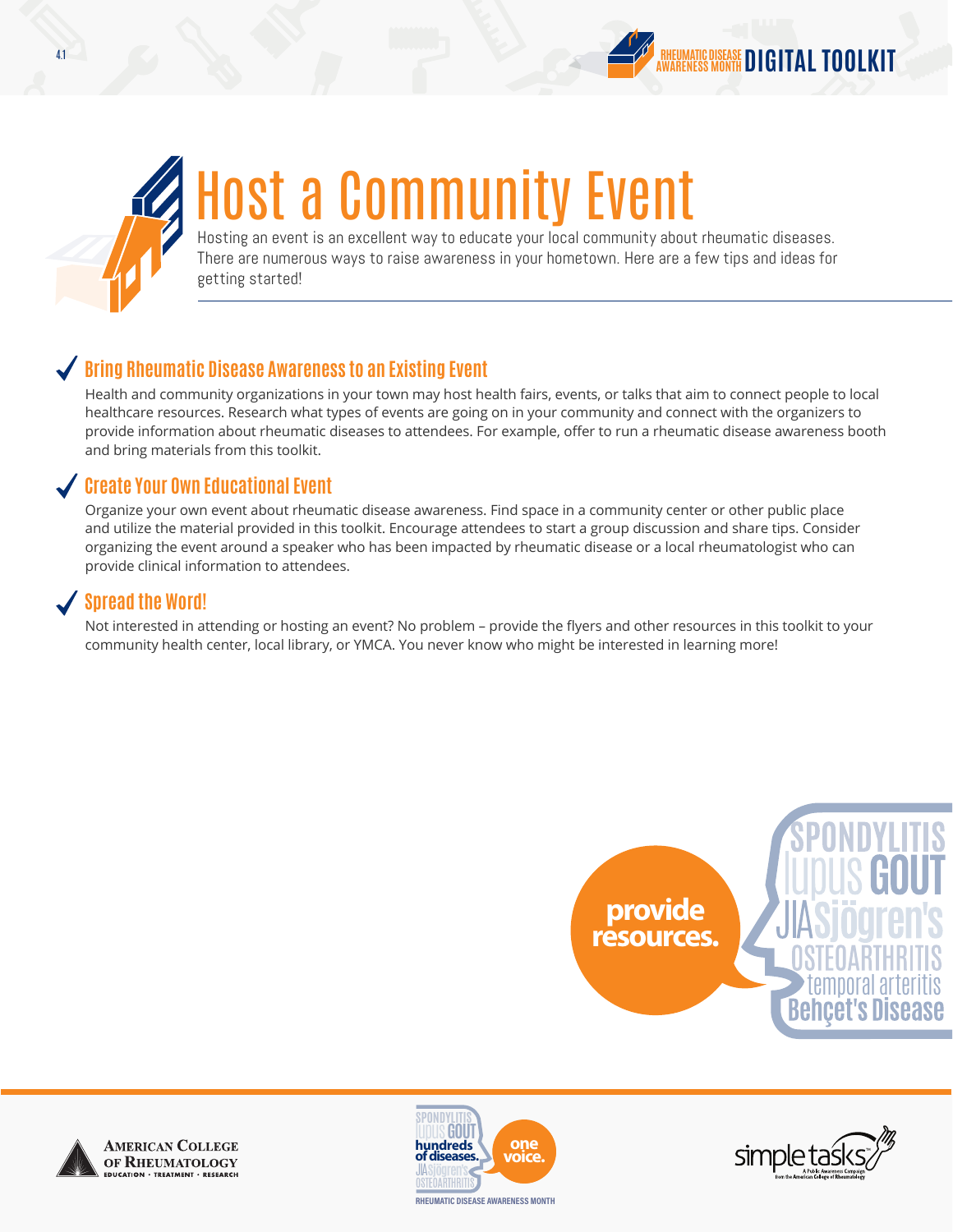

# Host a Community Event

Hosting an event is an excellent way to educate your local community about rheumatic diseases. There are numerous ways to raise awareness in your hometown. Here are a few tips and ideas for getting started!

## **Bring Rheumatic Disease Awareness to an Existing Event**

Health and community organizations in your town may host health fairs, events, or talks that aim to connect people to local healthcare resources. Research what types of events are going on in your community and connect with the organizers to provide information about rheumatic diseases to attendees. For example, offer to run a rheumatic disease awareness booth and bring materials from this toolkit.

## **Create Your Own Educational Event**

Organize your own event about rheumatic disease awareness. Find space in a community center or other public place and utilize the material provided in this toolkit. Encourage attendees to start a group discussion and share tips. Consider organizing the event around a speaker who has been impacted by rheumatic disease or a local rheumatologist who can provide clinical information to attendees.

## **Spread the Word!**

Not interested in attending or hosting an event? No problem – provide the flyers and other resources in this toolkit to your community health center, local library, or YMCA. You never know who might be interested in learning more!









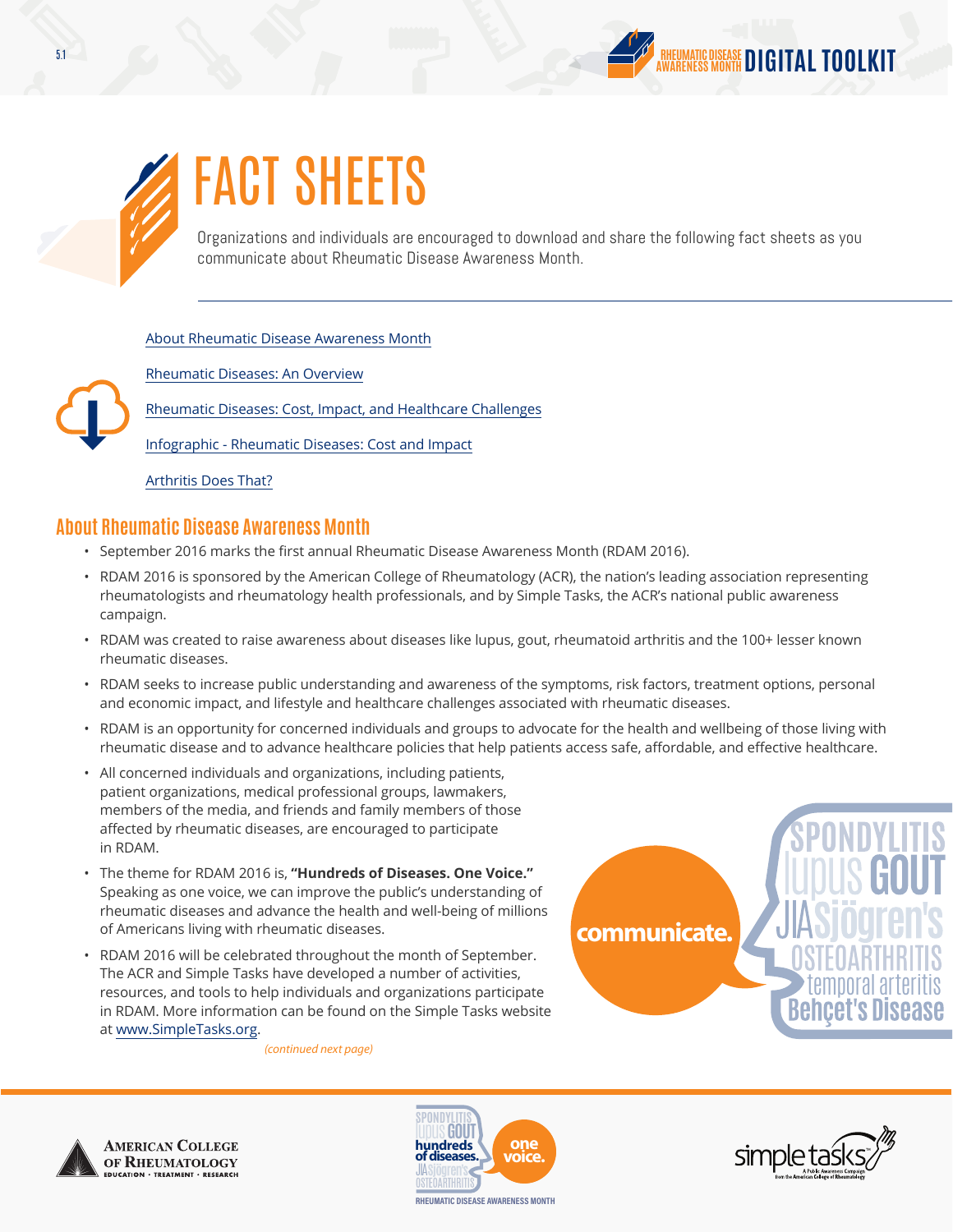



# FACT SHEETS

Organizations and individuals are encouraged to download and share the following fact sheets as you communicate about Rheumatic Disease Awareness Month.

#### [About Rheumatic Disease Awareness Month](http://simpletasks.org/rdam-2016-about-rheumatic-disease-awareness-month-fact-sheet/)

[Rheumatic Diseases: An Overview](http://simpletasks.org/rdam-2016-rheumatic-diseases-overview-fact-sheet)

[Rheumatic Diseases: Cost, Impact, and Healthcare Challenges](http://simpletasks.org/rdam-2016-cost-impact-healthcare-challenges-fact-sheet/)

[Infographic - Rheumatic Diseases: Cost and Impact](http://simpletasks.org/wp-content/uploads/2016/07/Rheumatic-Disease-in-America-Cost-and-Impact.pdf)

[Arthritis Does That?](http://simpletasks.org/wp-content/uploads/2016/05/Arthritis-Does-That.pdf)

### **About Rheumatic Disease Awareness Month**

- September 2016 marks the first annual Rheumatic Disease Awareness Month (RDAM 2016).
- RDAM 2016 is sponsored by the American College of Rheumatology (ACR), the nation's leading association representing rheumatologists and rheumatology health professionals, and by Simple Tasks, the ACR's national public awareness campaign.
- RDAM was created to raise awareness about diseases like lupus, gout, rheumatoid arthritis and the 100+ lesser known rheumatic diseases.
- RDAM seeks to increase public understanding and awareness of the symptoms, risk factors, treatment options, personal and economic impact, and lifestyle and healthcare challenges associated with rheumatic diseases.
- RDAM is an opportunity for concerned individuals and groups to advocate for the health and wellbeing of those living with rheumatic disease and to advance healthcare policies that help patients access safe, affordable, and effective healthcare.
- All concerned individuals and organizations, including patients, patient organizations, medical professional groups, lawmakers, members of the media, and friends and family members of those affected by rheumatic diseases, are encouraged to participate in RDAM.
- The theme for RDAM 2016 is, **"Hundreds of Diseases. One Voice."** Speaking as one voice, we can improve the public's understanding of rheumatic diseases and advance the health and well-being of millions of Americans living with rheumatic diseases.
- RDAM 2016 will be celebrated throughout the month of September. The ACR and Simple Tasks have developed a number of activities, resources, and tools to help individuals and organizations participate in RDAM. More information can be found on the Simple Tasks website at [www.SimpleTasks.org](http://www.SimpleTasks.org).

*(continued next page)*

temporal arteritis **communicate.**





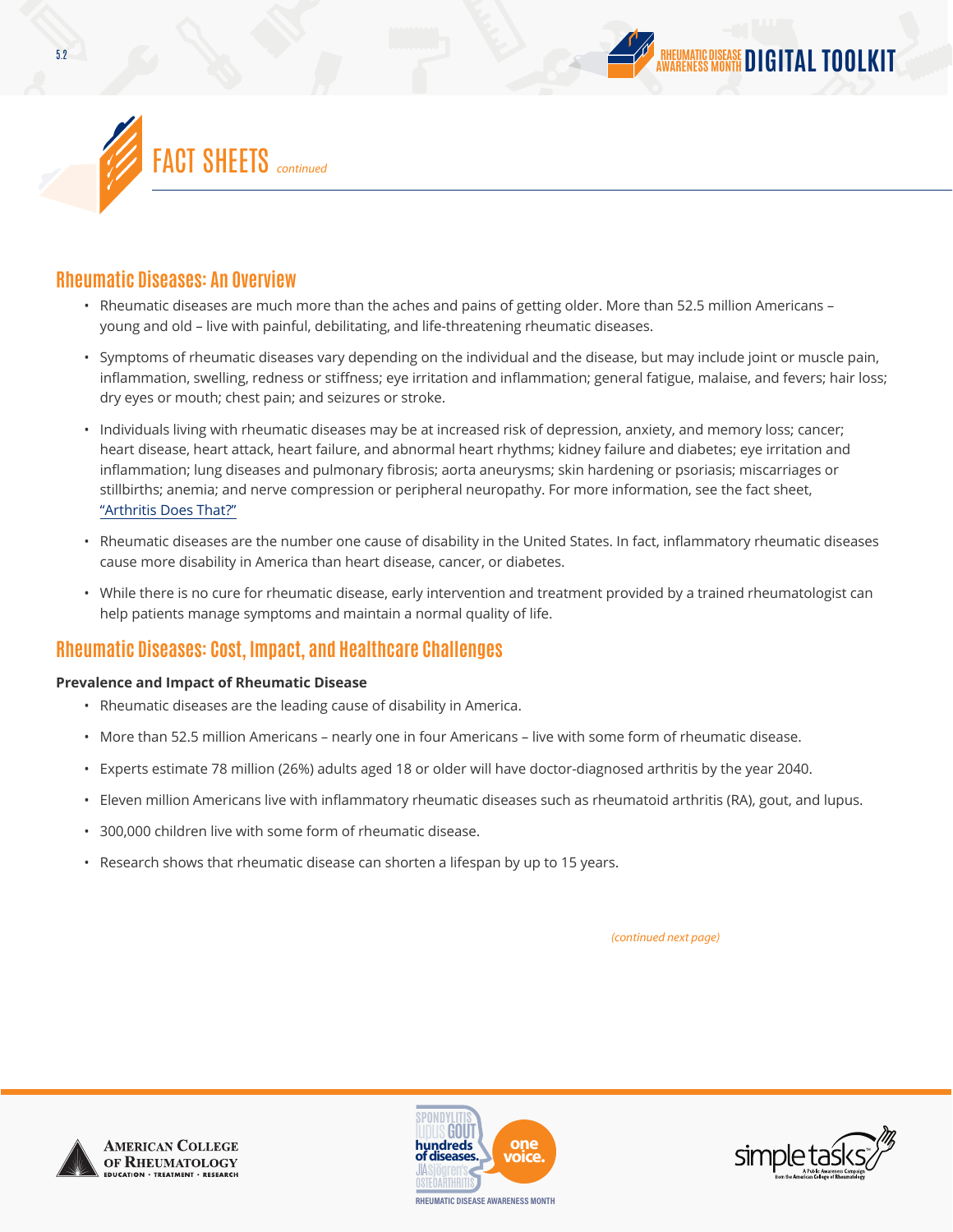



### **Rheumatic Diseases: An Overview**

- Rheumatic diseases are much more than the aches and pains of getting older. More than 52.5 million Americans young and old – live with painful, debilitating, and life-threatening rheumatic diseases.
- Symptoms of rheumatic diseases vary depending on the individual and the disease, but may include joint or muscle pain, inflammation, swelling, redness or stiffness; eye irritation and inflammation; general fatigue, malaise, and fevers; hair loss; dry eyes or mouth; chest pain; and seizures or stroke.
- Individuals living with rheumatic diseases may be at increased risk of depression, anxiety, and memory loss; cancer; heart disease, heart attack, heart failure, and abnormal heart rhythms; kidney failure and diabetes; eye irritation and inflammation; lung diseases and pulmonary fibrosis; aorta aneurysms; skin hardening or psoriasis; miscarriages or stillbirths; anemia; and nerve compression or peripheral neuropathy. For more information, see the fact sheet, ["Arthritis Does That?"](http://simpletasks.org/wp-content/uploads/2016/05/Arthritis-Does-That.pdf)
- Rheumatic diseases are the number one cause of disability in the United States. In fact, inflammatory rheumatic diseases cause more disability in America than heart disease, cancer, or diabetes.
- While there is no cure for rheumatic disease, early intervention and treatment provided by a trained rheumatologist can help patients manage symptoms and maintain a normal quality of life.

## **Rheumatic Diseases: Cost, Impact, and Healthcare Challenges**

#### **Prevalence and Impact of Rheumatic Disease**

- Rheumatic diseases are the leading cause of disability in America.
- More than 52.5 million Americans nearly one in four Americans live with some form of rheumatic disease.
- Experts estimate 78 million (26%) adults aged 18 or older will have doctor-diagnosed arthritis by the year 2040.
- Eleven million Americans live with inflammatory rheumatic diseases such as rheumatoid arthritis (RA), gout, and lupus.
- 300,000 children live with some form of rheumatic disease.
- Research shows that rheumatic disease can shorten a lifespan by up to 15 years.

*(continued next page)*





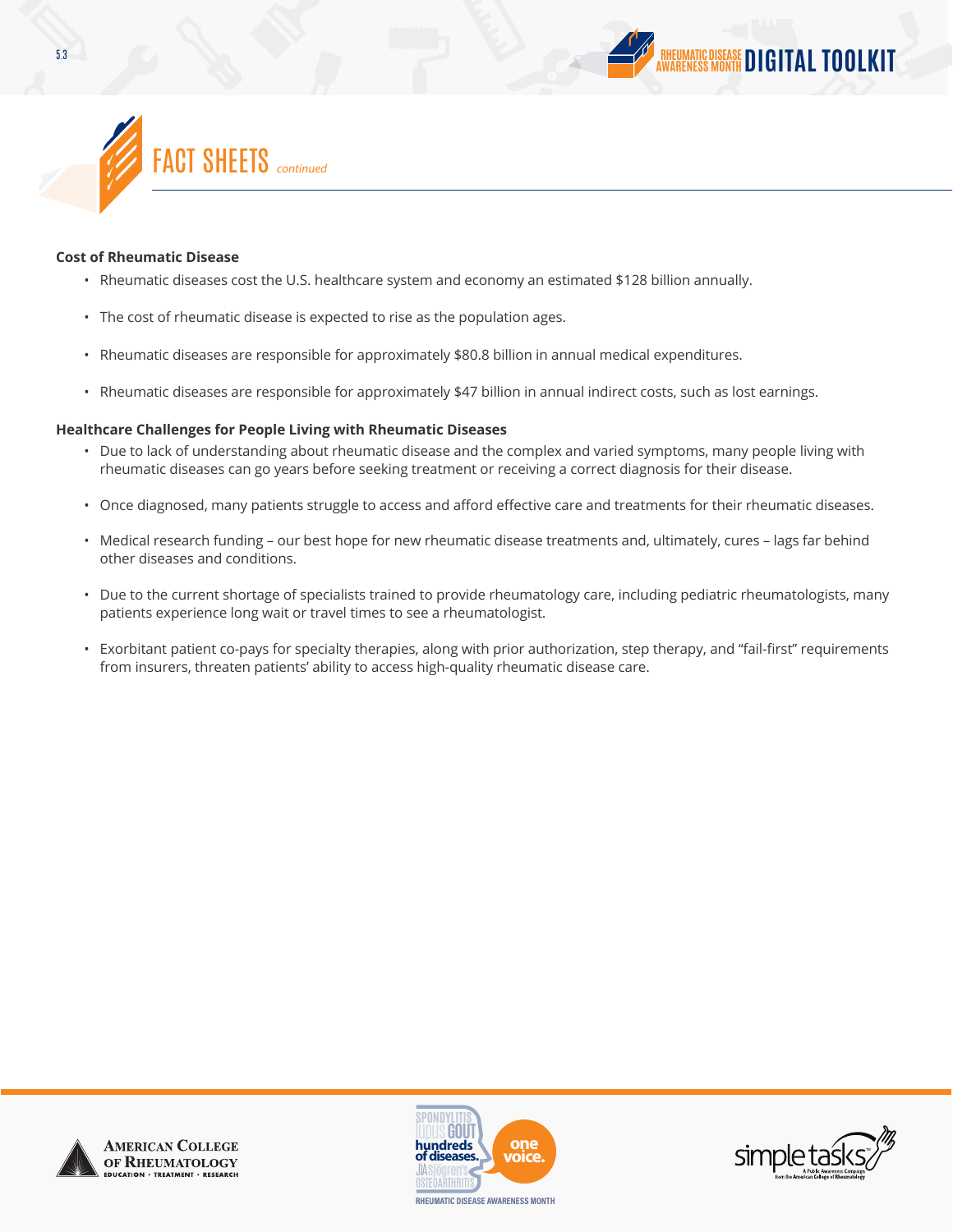

#### **Cost of Rheumatic Disease**

- Rheumatic diseases cost the U.S. healthcare system and economy an estimated \$128 billion annually.
- The cost of rheumatic disease is expected to rise as the population ages.
- Rheumatic diseases are responsible for approximately \$80.8 billion in annual medical expenditures.
- Rheumatic diseases are responsible for approximately \$47 billion in annual indirect costs, such as lost earnings.

#### **Healthcare Challenges for People Living with Rheumatic Diseases**

- Due to lack of understanding about rheumatic disease and the complex and varied symptoms, many people living with rheumatic diseases can go years before seeking treatment or receiving a correct diagnosis for their disease.
- Once diagnosed, many patients struggle to access and afford effective care and treatments for their rheumatic diseases.
- Medical research funding our best hope for new rheumatic disease treatments and, ultimately, cures lags far behind other diseases and conditions.
- Due to the current shortage of specialists trained to provide rheumatology care, including pediatric rheumatologists, many patients experience long wait or travel times to see a rheumatologist.
- Exorbitant patient co-pays for specialty therapies, along with prior authorization, step therapy, and "fail-first" requirements from insurers, threaten patients' ability to access high-quality rheumatic disease care.







**DIGITAL TOOLKIT**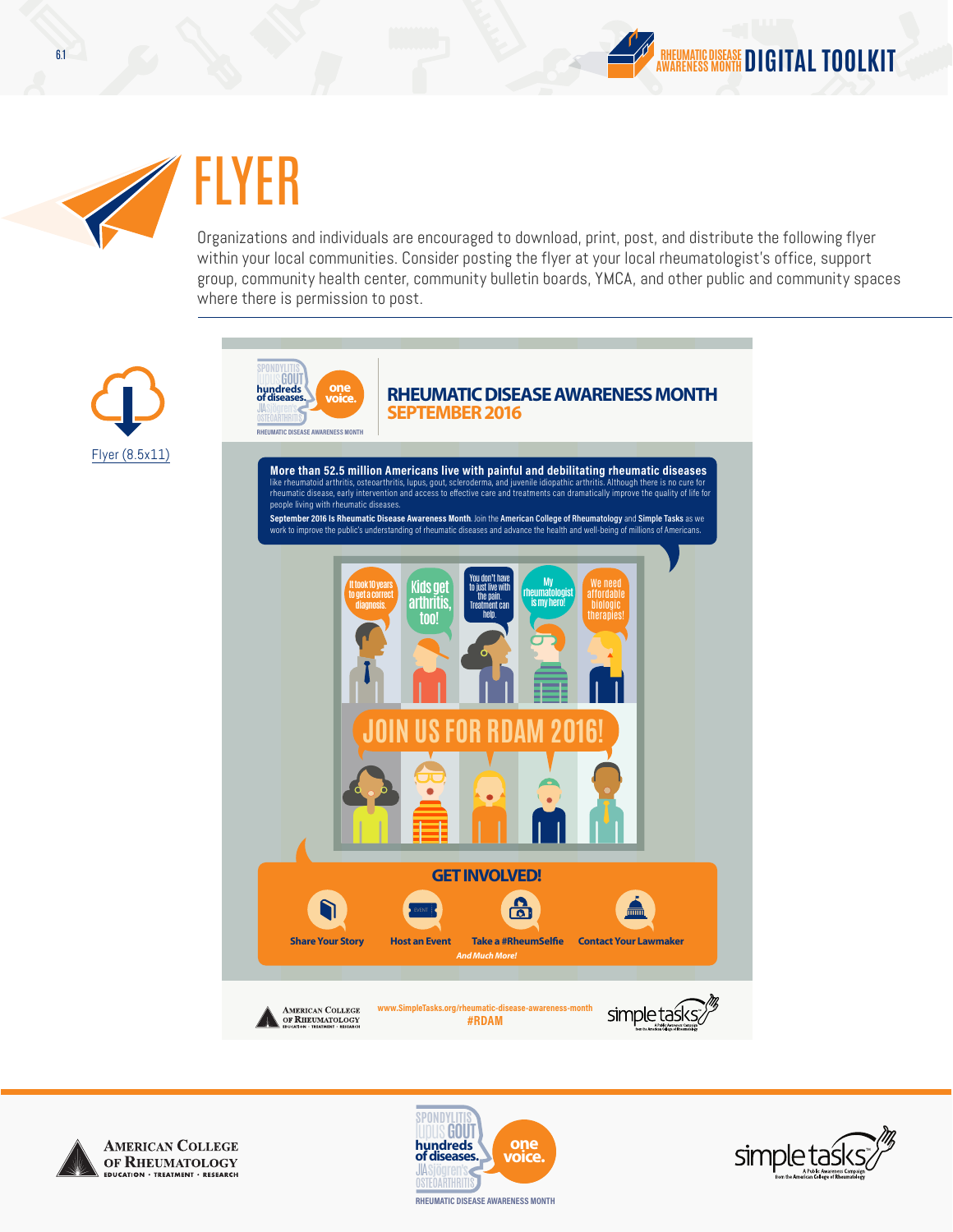



# FLYER

Organizations and individuals are encouraged to download, print, post, and distribute the following flyer within your local communities. Consider posting the flyer at your local rheumatologist's office, support group, community health center, community bulletin boards, YMCA, and other public and community spaces where there is permission to post.









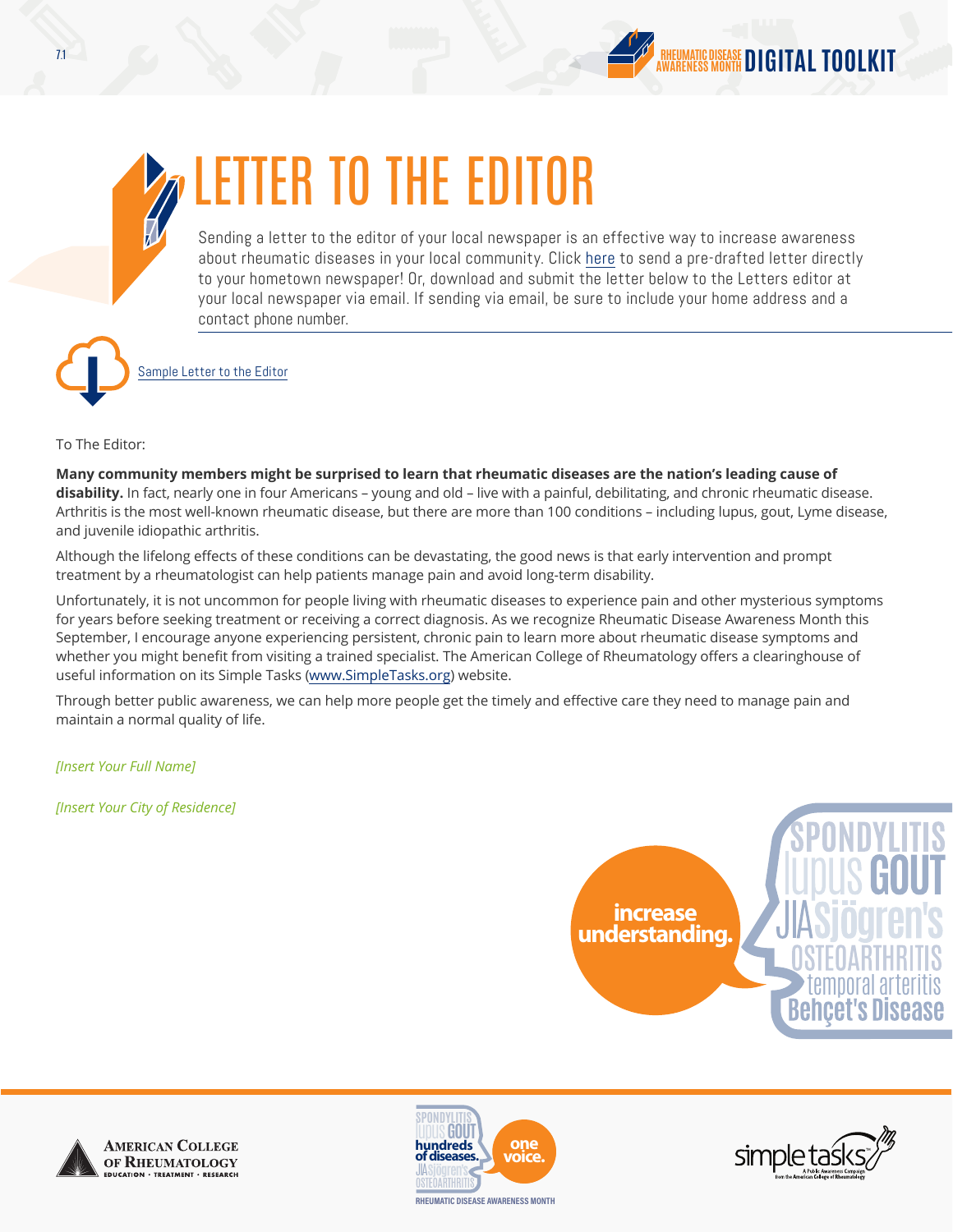



## LETTER TO THE EDITOR

Sending a letter to the editor of your local newspaper is an effective way to increase awareness about rheumatic diseases in your local community. Click [here](http://simpletasks.org/advocacy/) to send a pre-drafted letter directly to your hometown newspaper! Or, download and submit the letter below to the Letters editor at your local newspaper via email. If sending via email, be sure to include your home address and a contact phone number.



[Sample Letter to the Editor](http://simpletasks.org/rdam-2016-letter-to-the-editor/)

To The Editor:

**Many community members might be surprised to learn that rheumatic diseases are the nation's leading cause of disability.** In fact, nearly one in four Americans – young and old – live with a painful, debilitating, and chronic rheumatic disease. Arthritis is the most well-known rheumatic disease, but there are more than 100 conditions – including lupus, gout, Lyme disease, and juvenile idiopathic arthritis.

Although the lifelong effects of these conditions can be devastating, the good news is that early intervention and prompt treatment by a rheumatologist can help patients manage pain and avoid long-term disability.

Unfortunately, it is not uncommon for people living with rheumatic diseases to experience pain and other mysterious symptoms for years before seeking treatment or receiving a correct diagnosis. As we recognize Rheumatic Disease Awareness Month this September, I encourage anyone experiencing persistent, chronic pain to learn more about rheumatic disease symptoms and whether you might benefit from visiting a trained specialist. The American College of Rheumatology offers a clearinghouse of useful information on its Simple Tasks (www.SimpleTasks.org) website.

Through better public awareness, we can help more people get the timely and effective care they need to manage pain and maintain a normal quality of life.

*[Insert Your Full Name]*

*[Insert Your City of Residence]*







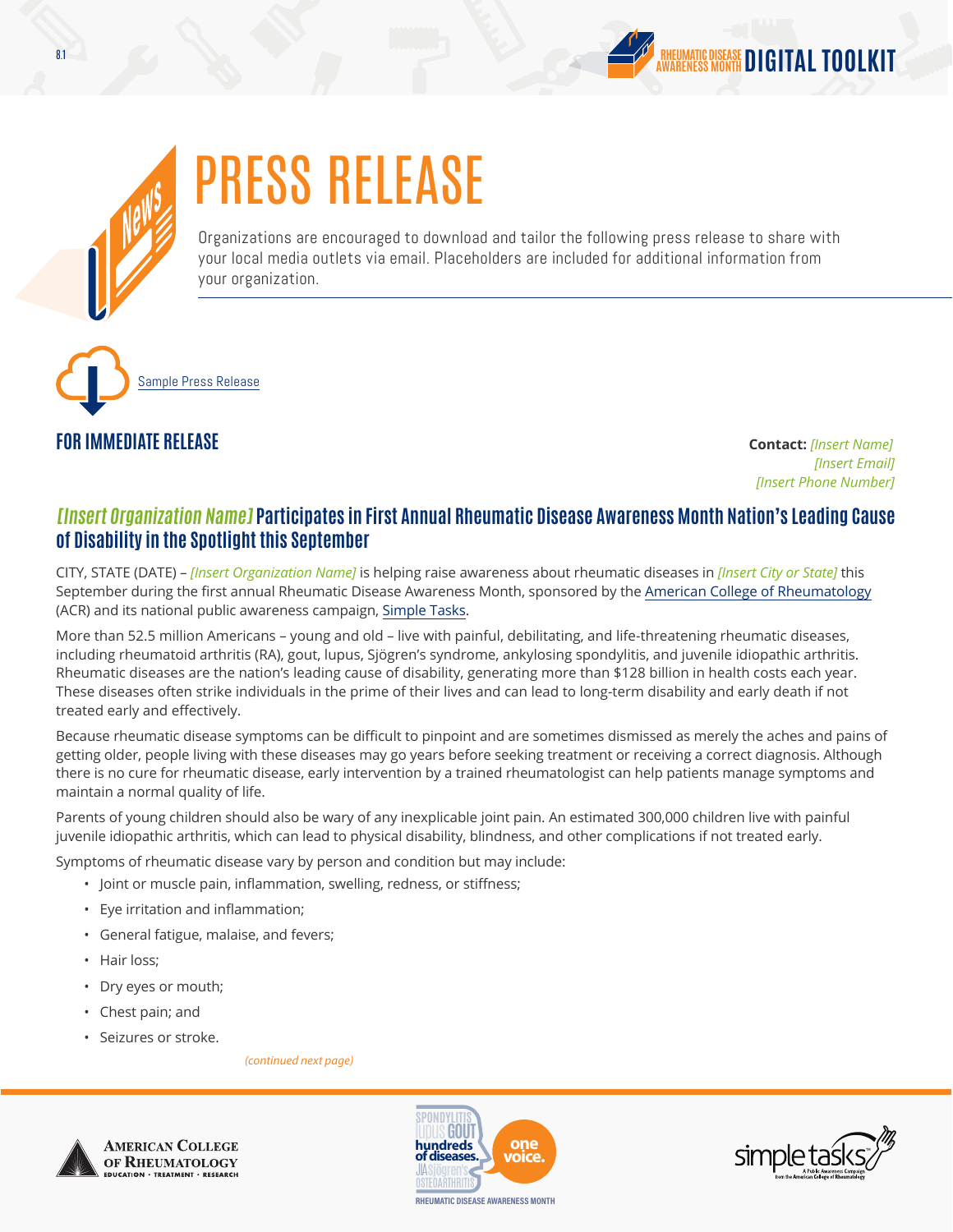



# PRESS RELEASE

Organizations are encouraged to download and tailor the following press release to share with your local media outlets via email. Placeholders are included for additional information from your organization.

[Sample Press Release](http://simpletasks.org/rdam-2016-local-press-release/)

## **FOR IMMEDIATE RELEASE Contact:** *[Insert Name]*

*[Insert Email] [Insert Phone Number]*

### **[Insert Organization Name] Participates in First Annual Rheumatic Disease Awareness Month Nation's Leading Cause of Disability in the Spotlight this September**

CITY, STATE (DATE) – *[Insert Organization Name]* is helping raise awareness about rheumatic diseases in *[Insert City or State]* this September during the first annual Rheumatic Disease Awareness Month, sponsored by the [American College of Rheumatology](http://www.rheumatology.org/) (ACR) and its national public awareness campaign, [Simple Tasks](http://simpletasks.org/).

More than 52.5 million Americans – young and old – live with painful, debilitating, and life-threatening rheumatic diseases, including rheumatoid arthritis (RA), gout, lupus, Sjögren's syndrome, ankylosing spondylitis, and juvenile idiopathic arthritis. Rheumatic diseases are the nation's leading cause of disability, generating more than \$128 billion in health costs each year. These diseases often strike individuals in the prime of their lives and can lead to long-term disability and early death if not treated early and effectively.

Because rheumatic disease symptoms can be difficult to pinpoint and are sometimes dismissed as merely the aches and pains of getting older, people living with these diseases may go years before seeking treatment or receiving a correct diagnosis. Although there is no cure for rheumatic disease, early intervention by a trained rheumatologist can help patients manage symptoms and maintain a normal quality of life.

Parents of young children should also be wary of any inexplicable joint pain. An estimated 300,000 children live with painful juvenile idiopathic arthritis, which can lead to physical disability, blindness, and other complications if not treated early.

Symptoms of rheumatic disease vary by person and condition but may include:

- Joint or muscle pain, inflammation, swelling, redness, or stiffness;
- Eye irritation and inflammation;
- General fatigue, malaise, and fevers;
- Hair loss;
- Dry eyes or mouth;
- Chest pain; and
- Seizures or stroke.

*(continued next page)*





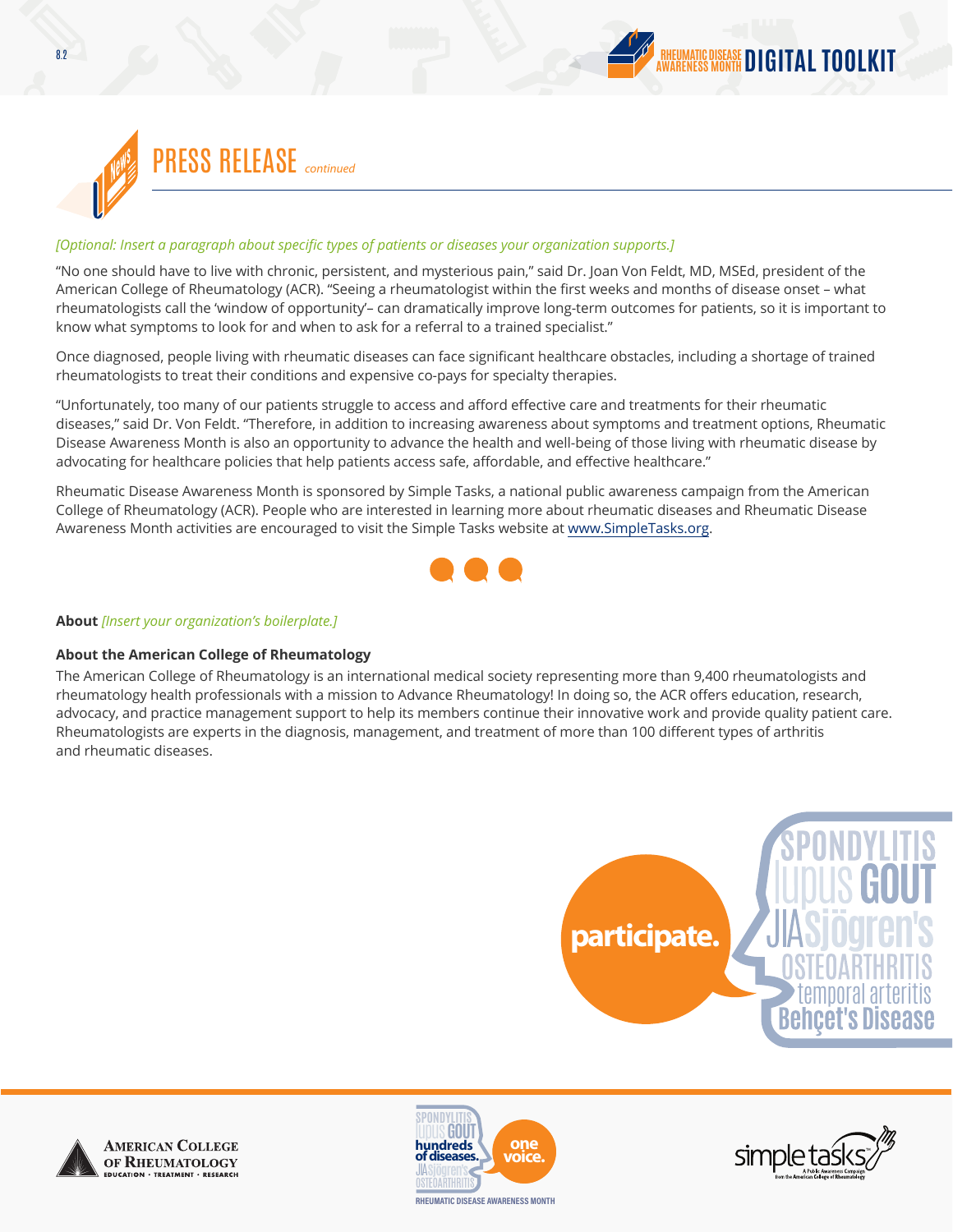



#### *[Optional: Insert a paragraph about specific types of patients or diseases your organization supports.]*

"No one should have to live with chronic, persistent, and mysterious pain," said Dr. Joan Von Feldt, MD, MSEd, president of the American College of Rheumatology (ACR). "Seeing a rheumatologist within the first weeks and months of disease onset – what rheumatologists call the 'window of opportunity'– can dramatically improve long-term outcomes for patients, so it is important to know what symptoms to look for and when to ask for a referral to a trained specialist."

Once diagnosed, people living with rheumatic diseases can face significant healthcare obstacles, including a shortage of trained rheumatologists to treat their conditions and expensive co-pays for specialty therapies.

"Unfortunately, too many of our patients struggle to access and afford effective care and treatments for their rheumatic diseases," said Dr. Von Feldt. "Therefore, in addition to increasing awareness about symptoms and treatment options, Rheumatic Disease Awareness Month is also an opportunity to advance the health and well-being of those living with rheumatic disease by advocating for healthcare policies that help patients access safe, affordable, and effective healthcare."

Rheumatic Disease Awareness Month is sponsored by Simple Tasks, a national public awareness campaign from the American College of Rheumatology (ACR). People who are interested in learning more about rheumatic diseases and Rheumatic Disease Awareness Month activities are encouraged to visit the Simple Tasks website at [www.SimpleTasks.org.](http://www.SimpleTasks.org)



#### **About** *[Insert your organization's boilerplate.]*

#### **About the American College of Rheumatology**

The American College of Rheumatology is an international medical society representing more than 9,400 rheumatologists and rheumatology health professionals with a mission to Advance Rheumatology! In doing so, the ACR offers education, research, advocacy, and practice management support to help its members continue their innovative work and provide quality patient care. Rheumatologists are experts in the diagnosis, management, and treatment of more than 100 different types of arthritis and rheumatic diseases.







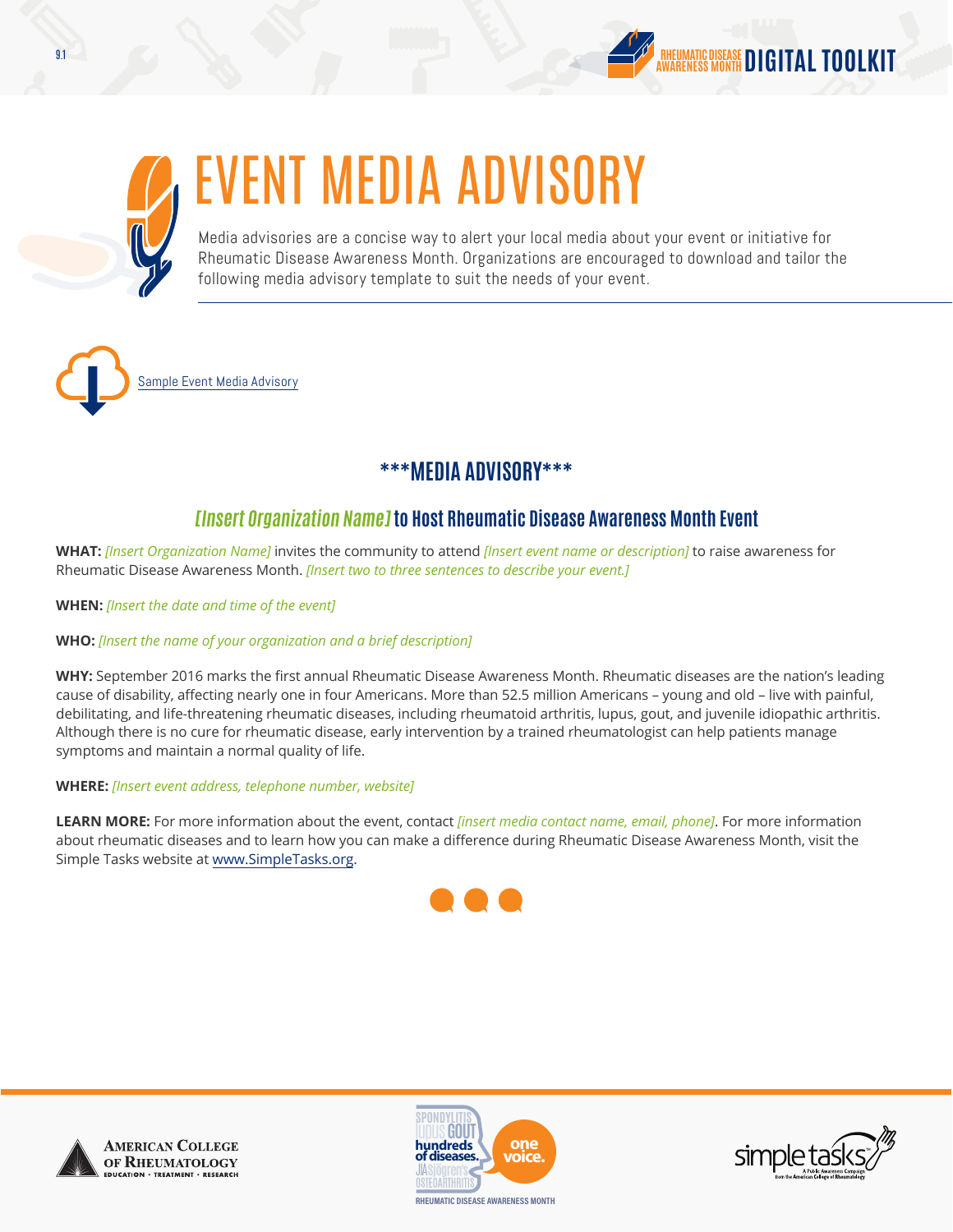



## EVENT MEDIA ADVISORY

Media advisories are a concise way to alert your local media about your event or initiative for Rheumatic Disease Awareness Month. Organizations are encouraged to download and tailor the following media advisory template to suit the needs of your event.

[Sample Event Media Advisory](http://simpletasks.org/rdam-2016-media-advisory/)

## **\*\*\*MEDIA ADVISORY\*\*\***

## **[Insert Organization Name]to Host Rheumatic Disease Awareness Month Event**

**WHAT:** *[Insert Organization Name]* invites the community to attend *[Insert event name or description]* to raise awareness for Rheumatic Disease Awareness Month. *[Insert two to three sentences to describe your event.]*

**WHEN:** *[Insert the date and time of the event]*

### **WHO:** *[Insert the name of your organization and a brief description]*

**WHY:** September 2016 marks the first annual Rheumatic Disease Awareness Month. Rheumatic diseases are the nation's leading cause of disability, affecting nearly one in four Americans. More than 52.5 million Americans – young and old – live with painful, debilitating, and life-threatening rheumatic diseases, including rheumatoid arthritis, lupus, gout, and juvenile idiopathic arthritis. Although there is no cure for rheumatic disease, early intervention by a trained rheumatologist can help patients manage symptoms and maintain a normal quality of life.

### **WHERE:** *[Insert event address, telephone number, website]*

**LEARN MORE:** For more information about the event, contact *[insert media contact name, email, phone]*. For more information about rheumatic diseases and to learn how you can make a difference during Rheumatic Disease Awareness Month, visit the Simple Tasks website at www.SimpleTasks.org.







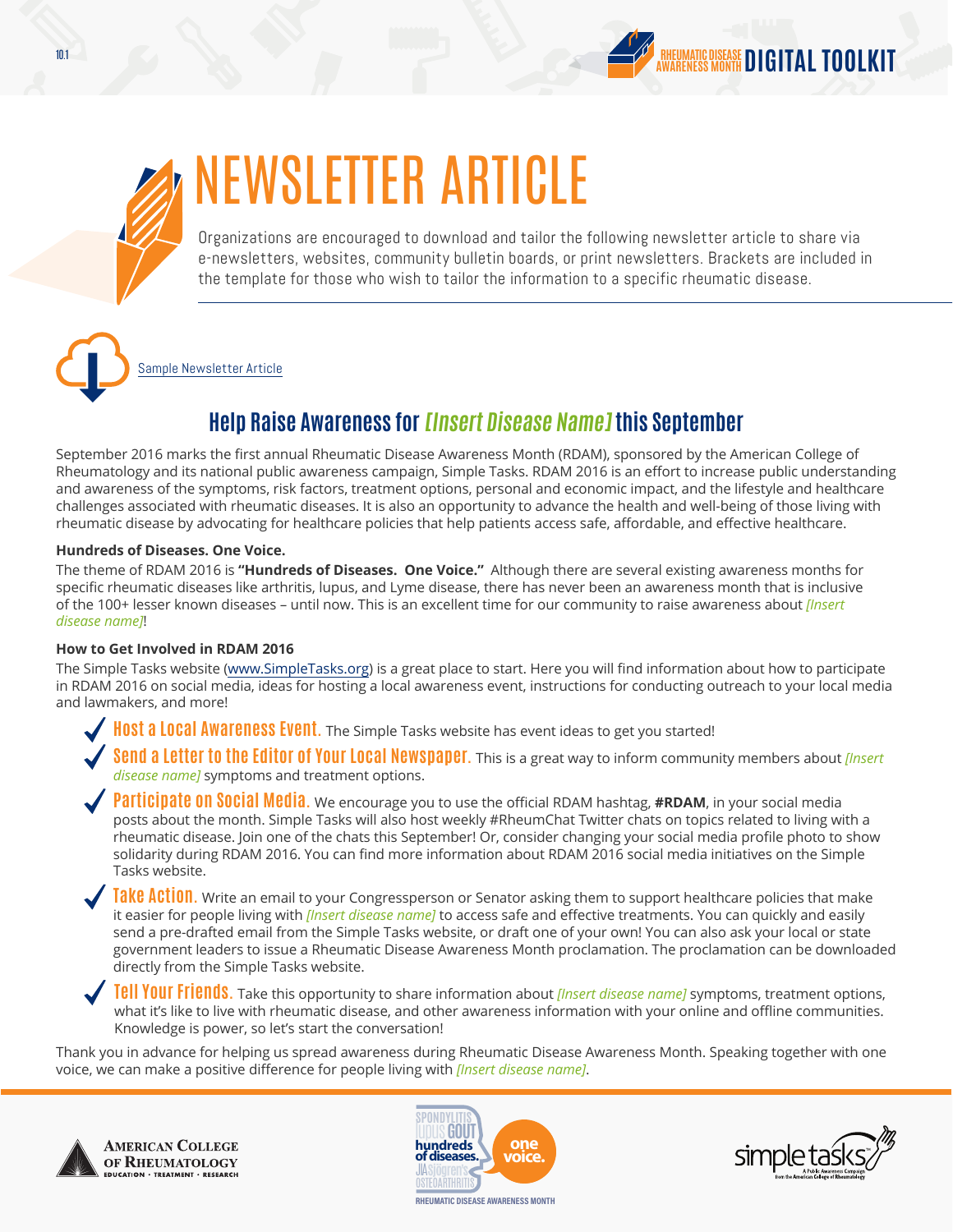



## NEWSLETTER ARTICLE

Organizations are encouraged to download and tailor the following newsletter article to share via e-newsletters, websites, community bulletin boards, or print newsletters. Brackets are included in the template for those who wish to tailor the information to a specific rheumatic disease.

[Sample Newsletter Article](http://simpletasks.org/rdam-2016-newsletter-template/)

## **Help Raise Awareness for[Insert Disease Name]this September**

September 2016 marks the first annual Rheumatic Disease Awareness Month (RDAM), sponsored by the American College of Rheumatology and its national public awareness campaign, Simple Tasks. RDAM 2016 is an effort to increase public understanding and awareness of the symptoms, risk factors, treatment options, personal and economic impact, and the lifestyle and healthcare challenges associated with rheumatic diseases. It is also an opportunity to advance the health and well-being of those living with rheumatic disease by advocating for healthcare policies that help patients access safe, affordable, and effective healthcare.

### **Hundreds of Diseases. One Voice.**

The theme of RDAM 2016 is **"Hundreds of Diseases. One Voice."** Although there are several existing awareness months for specific rheumatic diseases like arthritis, lupus, and Lyme disease, there has never been an awareness month that is inclusive of the 100+ lesser known diseases – until now. This is an excellent time for our community to raise awareness about *[Insert disease name]*!

### **How to Get Involved in RDAM 2016**

The Simple Tasks website (www.SimpleTasks.org) is a great place to start. Here you will find information about how to participate in RDAM 2016 on social media, ideas for hosting a local awareness event, instructions for conducting outreach to your local media and lawmakers, and more!

 **Host a Local Awareness Event.** The Simple Tasks website has event ideas to get you started!

 **Send a Letter to the Editor of Your Local Newspaper.** This is a great way to inform community members about *[Insert disease name]* symptoms and treatment options.

 **Participate on Social Media.** We encourage you to use the official RDAM hashtag, **#RDAM**, in your social media posts about the month. Simple Tasks will also host weekly #RheumChat Twitter chats on topics related to living with a rheumatic disease. Join one of the chats this September! Or, consider changing your social media profile photo to show solidarity during RDAM 2016. You can find more information about RDAM 2016 social media initiatives on the Simple Tasks website.

**Take Action**. Write an email to your Congressperson or Senator asking them to support healthcare policies that make it easier for people living with *[Insert disease name]* to access safe and effective treatments. You can quickly and easily send a pre-drafted email from the Simple Tasks website, or draft one of your own! You can also ask your local or state government leaders to issue a Rheumatic Disease Awareness Month proclamation. The proclamation can be downloaded directly from the Simple Tasks website.

 **Tell Your Friends.** Take this opportunity to share information about *[Insert disease name]* symptoms, treatment options, what it's like to live with rheumatic disease, and other awareness information with your online and offline communities. Knowledge is power, so let's start the conversation!

Thank you in advance for helping us spread awareness during Rheumatic Disease Awareness Month. Speaking together with one voice, we can make a positive difference for people living with *[Insert disease name]*.





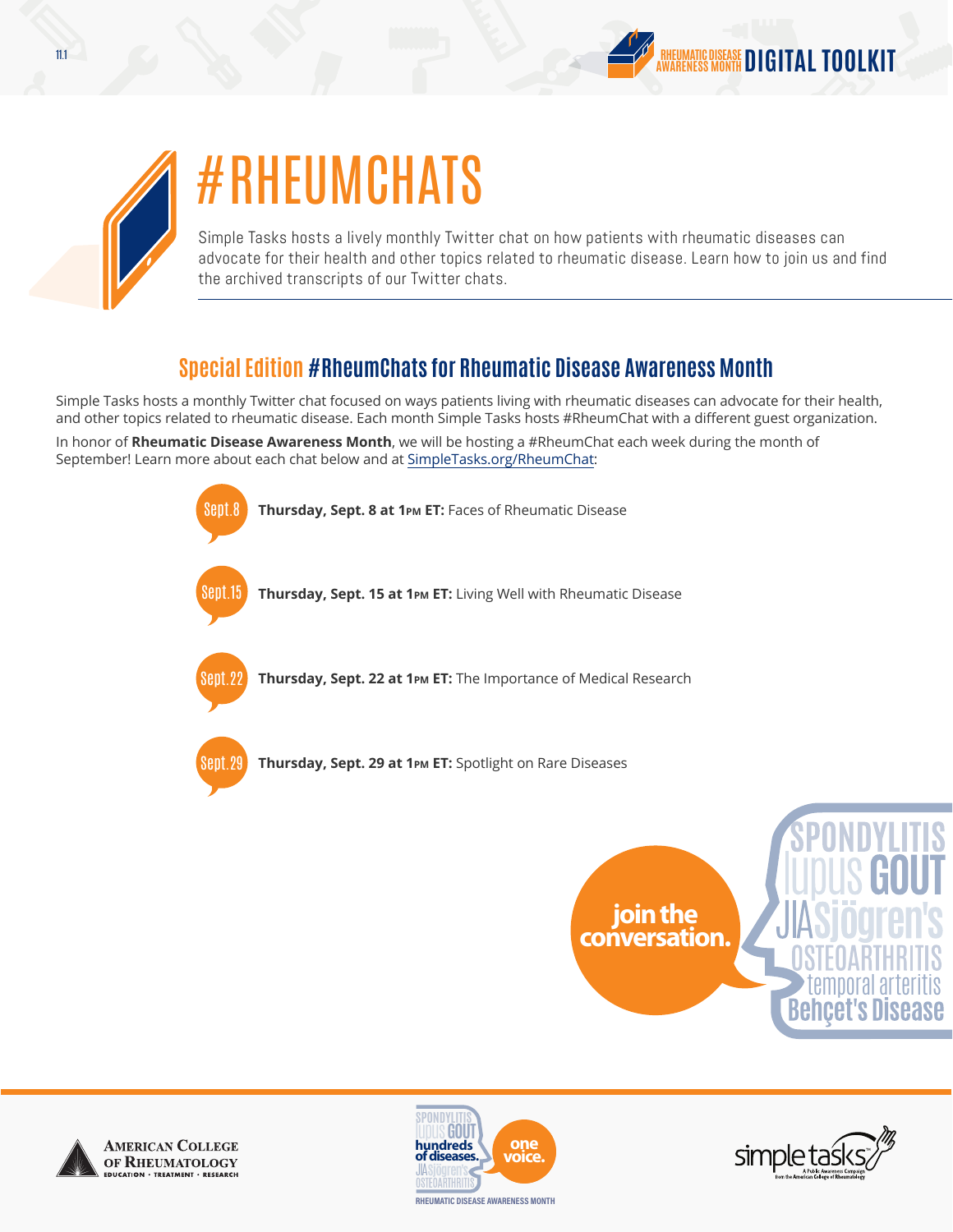



## #RHEUMCHATS

Simple Tasks hosts a lively monthly Twitter chat on how patients with rheumatic diseases can advocate for their health and other topics related to rheumatic disease. Learn how to join us and find the archived transcripts of our Twitter chats.

## **Special Edition #RheumChats for Rheumatic Disease Awareness Month**

Simple Tasks hosts a monthly Twitter chat focused on ways patients living with rheumatic diseases can advocate for their health, and other topics related to rheumatic disease. Each month Simple Tasks hosts #RheumChat with a different guest organization.

In honor of **Rheumatic Disease Awareness Month**, we will be hosting a #RheumChat each week during the month of September! Learn more about each chat below and at [SimpleTasks.org/RheumChat:](http://www.SimpleTasks.org/RheumChat)









temporal arteritis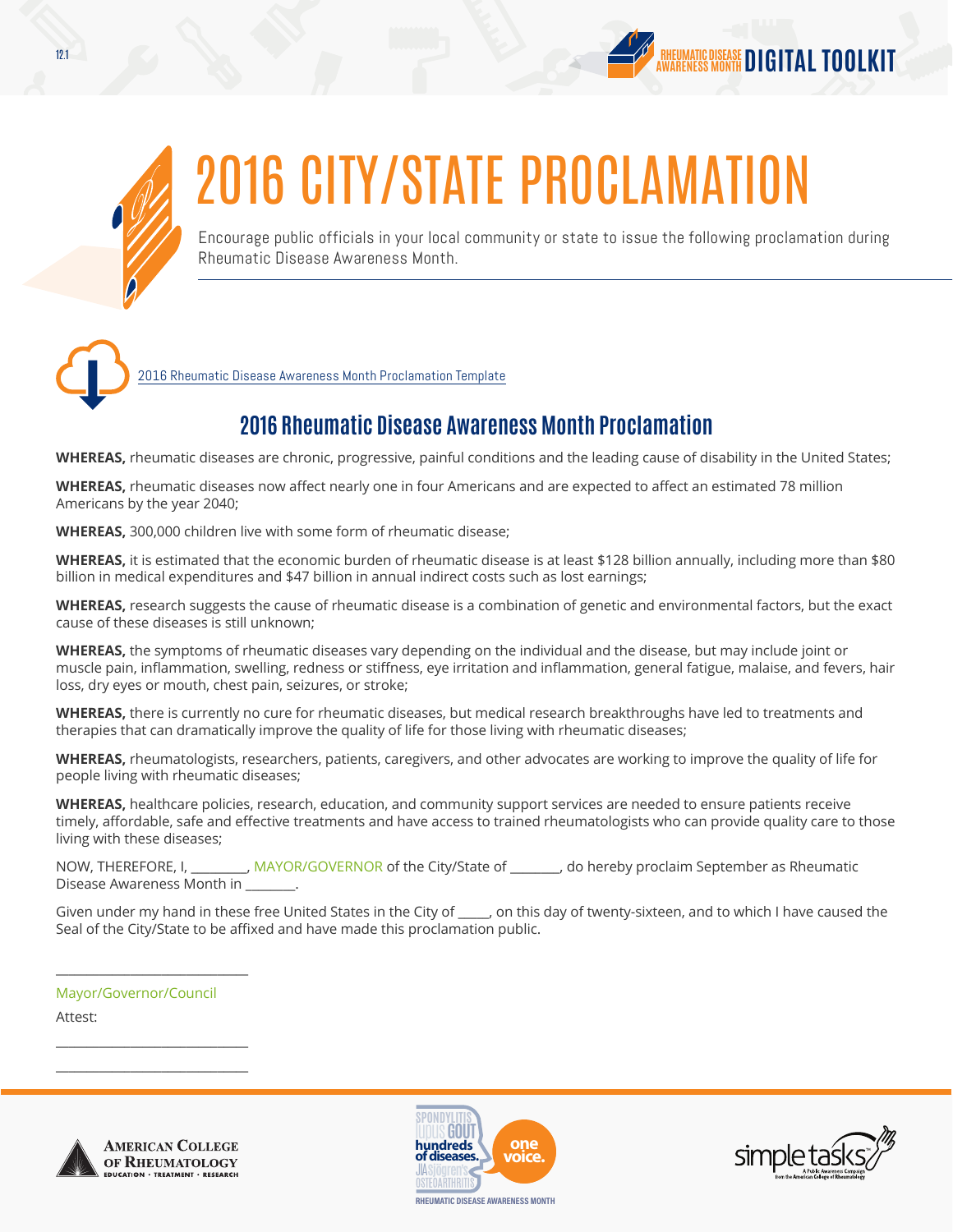



# 2016 CITY/STATE PROCLAMATION

Encourage public officials in your local community or state to issue the following proclamation during Rheumatic Disease Awareness Month.



[2016 Rheumatic Disease Awareness Month Proclamation Template](http://simpletasks.org/rdam-2016-template-proclamation/)

## **2016 Rheumatic Disease Awareness Month Proclamation**

**WHEREAS,** rheumatic diseases are chronic, progressive, painful conditions and the leading cause of disability in the United States;

**WHEREAS,** rheumatic diseases now affect nearly one in four Americans and are expected to affect an estimated 78 million Americans by the year 2040;

**WHEREAS,** 300,000 children live with some form of rheumatic disease;

**WHEREAS,** it is estimated that the economic burden of rheumatic disease is at least \$128 billion annually, including more than \$80 billion in medical expenditures and \$47 billion in annual indirect costs such as lost earnings;

**WHEREAS,** research suggests the cause of rheumatic disease is a combination of genetic and environmental factors, but the exact cause of these diseases is still unknown;

**WHEREAS,** the symptoms of rheumatic diseases vary depending on the individual and the disease, but may include joint or muscle pain, inflammation, swelling, redness or stiffness, eye irritation and inflammation, general fatigue, malaise, and fevers, hair loss, dry eyes or mouth, chest pain, seizures, or stroke;

**WHEREAS,** there is currently no cure for rheumatic diseases, but medical research breakthroughs have led to treatments and therapies that can dramatically improve the quality of life for those living with rheumatic diseases;

**WHEREAS,** rheumatologists, researchers, patients, caregivers, and other advocates are working to improve the quality of life for people living with rheumatic diseases;

**WHEREAS,** healthcare policies, research, education, and community support services are needed to ensure patients receive timely, affordable, safe and effective treatments and have access to trained rheumatologists who can provide quality care to those living with these diseases;

NOW, THEREFORE, I, \_\_\_\_\_\_\_\_\_, MAYOR/GOVERNOR of the City/State of \_\_\_\_\_\_\_\_, do hereby proclaim September as Rheumatic Disease Awareness Month in \_\_\_\_\_\_\_\_.

Given under my hand in these free United States in the City of \_\_\_\_\_, on this day of twenty-sixteen, and to which I have caused the Seal of the City/State to be affixed and have made this proclamation public.

Mayor/Governor/Council

\_\_\_\_\_\_\_\_\_\_\_\_\_\_\_\_\_\_\_\_\_\_\_\_\_\_\_\_\_\_\_

\_\_\_\_\_\_\_\_\_\_\_\_\_\_\_\_\_\_\_\_\_\_\_\_\_\_\_\_\_\_\_ \_\_\_\_\_\_\_\_\_\_\_\_\_\_\_\_\_\_\_\_\_\_\_\_\_\_\_\_\_\_\_

Attest: